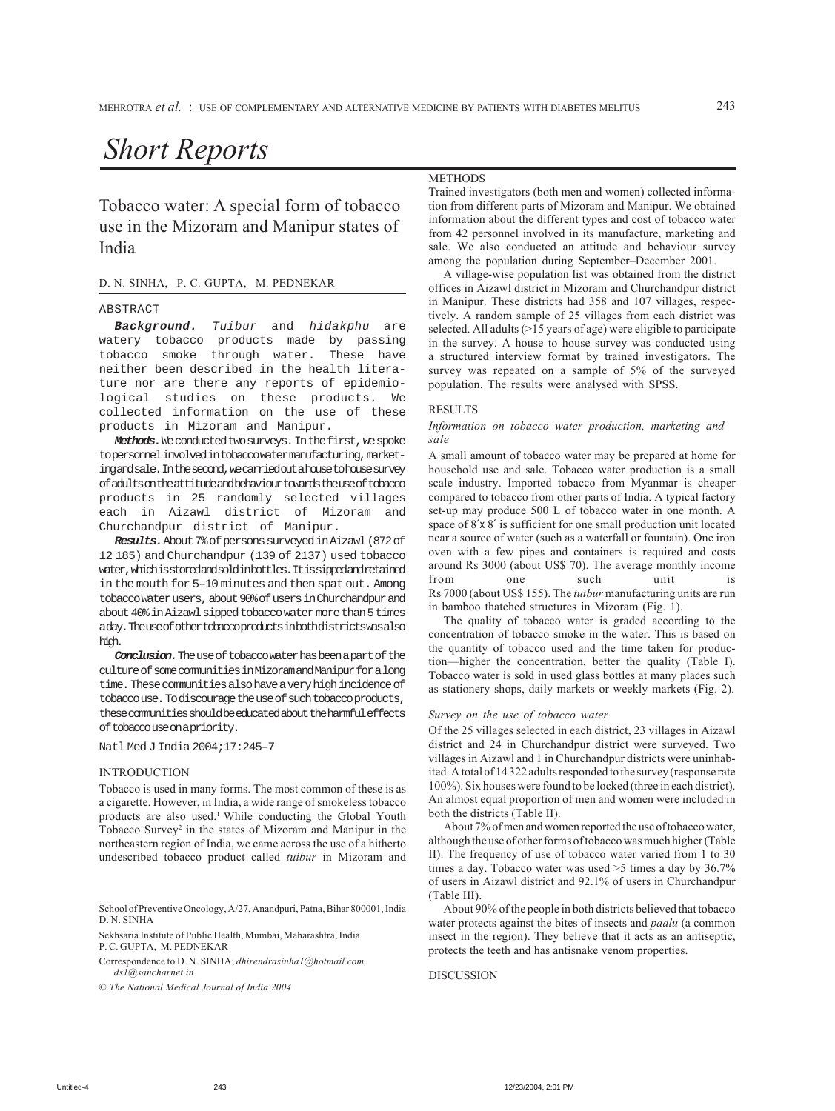# *Short Reports*

Tobacco water: A special form of tobacco use in the Mizoram and Manipur states of India

# D. N. SINHA, P. C. GUPTA, M. PEDNEKAR

## ABSTRACT

**Background.** Tuibur and hidakphu are watery tobacco products made by passing tobacco smoke through water. These have neither been described in the health literature nor are there any reports of epidemiological studies on these products. We collected information on the use of these products in Mizoram and Manipur.

Methods. We conducted two surveys. In the first, we spoke to personnel involved in tobacco water manufacturing, marketing and sale. In the second, we carried out a house to house survey of adults on the attitude and behaviour towards the use of tobacco products in 25 randomly selected villages each in Aizawl district of Mizoram and Churchandpur district of Manipur.

**Results.**About 7% of persons surveyed in Aizawl (872 of 12 185) and Churchandpur (139 of 2137) used tobacco water, which is stored and sold in bottles. It is sipped and retained in the mouth for 5–10 minutes and then spat out. Among tobacco water users, about 90% of users in Churchandpur and about 40% in Aizawl sipped tobacco water more than 5 times a day. The use of other tobacco products in both districts was also high.

**Conclusion.**The use of tobacco water has been a part of the culture of some communities in Mizoram and Manipur for a long time. These communities also have a very high incidence of tobacco use. To discourage the use of such tobacco products, these communities should be educated about the harmful effects of tobacco use on a priority.

## Natl Med J India 2004;17:245–7

## **INTRODUCTION**

Tobacco is used in many forms. The most common of these is as a cigarette. However, in India, a wide range of smokeless tobacco products are also used.<sup>1</sup> While conducting the Global Youth Tobacco Survey<sup>2</sup> in the states of Mizoram and Manipur in the northeastern region of India, we came across the use of a hitherto undescribed tobacco product called *tuibur* in Mizoram and

School of Preventive Oncology, A/27, Anandpuri, Patna, Bihar 800001, India D. N. SINHA

Sekhsaria Institute of Public Health, Mumbai, Maharashtra, India P. C. GUPTA, M. PEDNEKAR

Correspondence to D. N. SINHA; *dhirendrasinha1@hotmail.com, ds1@sancharnet.in*

© *The National Medical Journal of India 2004*

# METHODS

Trained investigators (both men and women) collected information from different parts of Mizoram and Manipur. We obtained information about the different types and cost of tobacco water from 42 personnel involved in its manufacture, marketing and sale. We also conducted an attitude and behaviour survey among the population during September–December 2001.

A village-wise population list was obtained from the district offices in Aizawl district in Mizoram and Churchandpur district in Manipur. These districts had 358 and 107 villages, respectively. A random sample of 25 villages from each district was selected. All adults (>15 years of age) were eligible to participate in the survey. A house to house survey was conducted using a structured interview format by trained investigators. The survey was repeated on a sample of 5% of the surveyed population. The results were analysed with SPSS.

# **RESULTS**

# *Information on tobacco water production, marketing and sale*

A small amount of tobacco water may be prepared at home for household use and sale. Tobacco water production is a small scale industry. Imported tobacco from Myanmar is cheaper compared to tobacco from other parts of India. A typical factory set-up may produce 500 L of tobacco water in one month. A space of 8'x 8' is sufficient for one small production unit located near a source of water (such as a waterfall or fountain). One iron oven with a few pipes and containers is required and costs around Rs 3000 (about US\$ 70). The average monthly income from one such unit is Rs 7000 (about US\$ 155). The *tuibur* manufacturing units are run in bamboo thatched structures in Mizoram (Fig. 1).

The quality of tobacco water is graded according to the concentration of tobacco smoke in the water. This is based on the quantity of tobacco used and the time taken for production—higher the concentration, better the quality (Table I). Tobacco water is sold in used glass bottles at many places such as stationery shops, daily markets or weekly markets (Fig. 2).

## *Survey on the use of tobacco water*

Of the 25 villages selected in each district, 23 villages in Aizawl district and 24 in Churchandpur district were surveyed. Two villages in Aizawl and 1 in Churchandpur districts were uninhabited. A total of 14 322 adults responded to the survey (response rate 100%). Six houses were found to be locked (three in each district). An almost equal proportion of men and women were included in both the districts (Table II).

About 7% of men and women reported the use of tobacco water, although the use of other forms of tobacco was much higher (Table II). The frequency of use of tobacco water varied from 1 to 30 times a day. Tobacco water was used >5 times a day by 36.7% of users in Aizawl district and 92.1% of users in Churchandpur (Table III).

About 90% of the people in both districts believed that tobacco water protects against the bites of insects and *paalu* (a common insect in the region). They believe that it acts as an antiseptic, protects the teeth and has antisnake venom properties.

# DISCUSSION